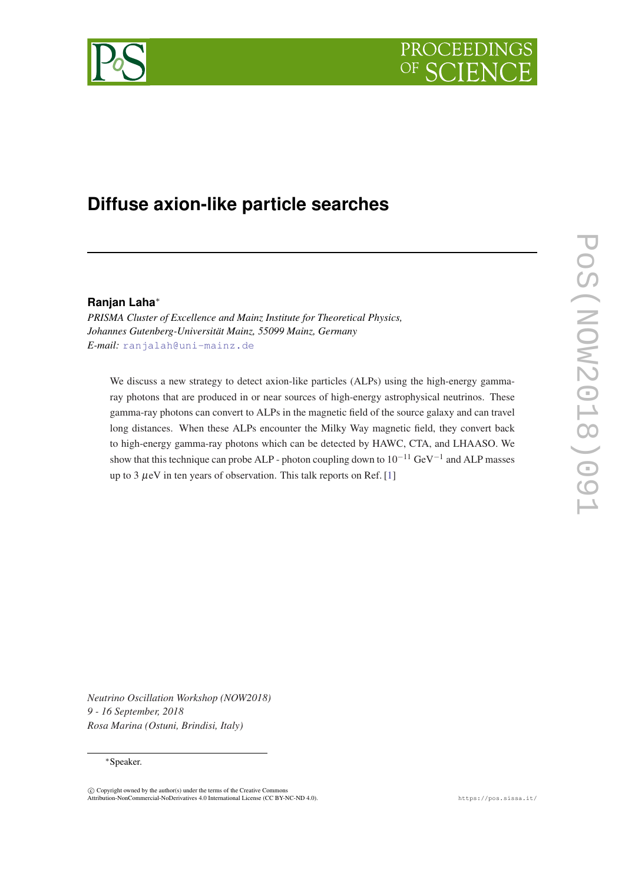



# **Diffuse axion-like particle searches**

## **Ranjan Laha**<sup>∗</sup>

*PRISMA Cluster of Excellence and Mainz Institute for Theoretical Physics, Johannes Gutenberg-Universität Mainz, 55099 Mainz, Germany E-mail:* [ranjalah@uni-mainz.de](mailto:ranjalah@uni-mainz.de)

We discuss a new strategy to detect axion-like particles (ALPs) using the high-energy gammaray photons that are produced in or near sources of high-energy astrophysical neutrinos. These gamma-ray photons can convert to ALPs in the magnetic field of the source galaxy and can travel long distances. When these ALPs encounter the Milky Way magnetic field, they convert back to high-energy gamma-ray photons which can be detected by HAWC, CTA, and LHAASO. We show that this technique can probe ALP - photon coupling down to  $10^{-11}$  GeV<sup>-1</sup> and ALP masses up to 3  $\mu$ eV in ten years of observation. This talk reports on Ref. [[1\]](#page-3-0)

*Neutrino Oscillation Workshop (NOW2018) 9 - 16 September, 2018 Rosa Marina (Ostuni, Brindisi, Italy)*

#### ∗Speaker.

 $\overline{c}$  Copyright owned by the author(s) under the terms of the Creative Common Attribution-NonCommercial-NoDerivatives 4.0 International License (CC BY-NC-ND 4.0). https://pos.sissa.it/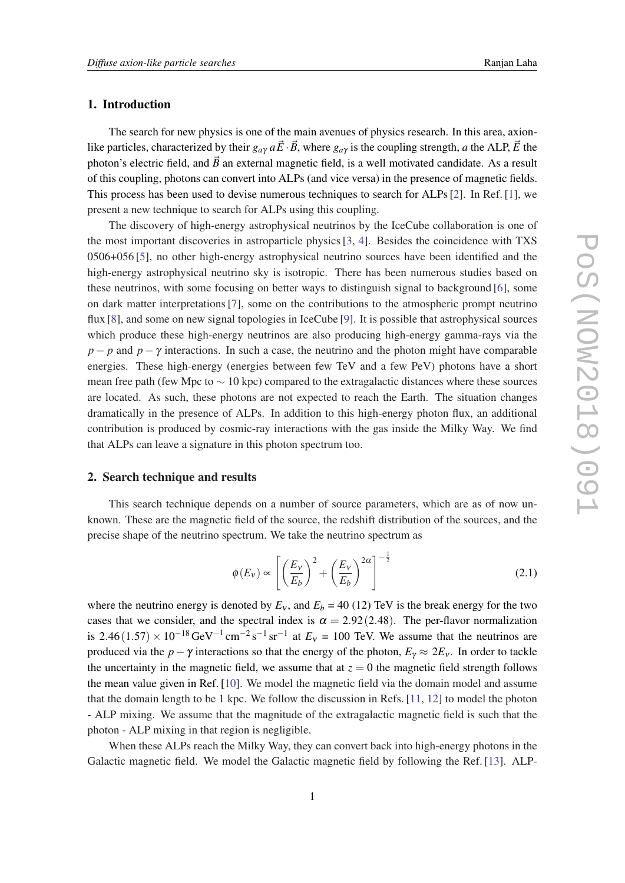#### 1. Introduction

The search for new physics is one of the main avenues of physics research. In this area, axionlike particles, characterized by their  $g_{a\gamma} a \vec{E} \cdot \vec{B}$ , where  $g_{a\gamma}$  is the coupling strength, *a* the ALP,  $\vec{E}$  the photon's electric field, and  $\vec{B}$  an external magnetic field, is a well motivated candidate. As a result of this coupling, photons can convert into ALPs (and vice versa) in the presence of magnetic fields. This process has been used to devise numerous techniques to search for ALPs [\[2\]](#page-3-0). In Ref. [\[1\]](#page-3-0), we present a new technique to search for ALPs using this coupling.

The discovery of high-energy astrophysical neutrinos by the IceCube collaboration is one of the most important discoveries in astroparticle physics [\[3,](#page-3-0) [4](#page-3-0)]. Besides the coincidence with TXS 0506+056 [\[5\]](#page-3-0), no other high-energy astrophysical neutrino sources have been identified and the high-energy astrophysical neutrino sky is isotropic. There has been numerous studies based on these neutrinos, with some focusing on better ways to distinguish signal to background [[6](#page-3-0)], some on dark matter interpretations [[7](#page-3-0)], some on the contributions to the atmospheric prompt neutrino flux [[8](#page-4-0)], and some on new signal topologies in IceCube [[9](#page-4-0)]. It is possible that astrophysical sources which produce these high-energy neutrinos are also producing high-energy gamma-rays via the *p* − *p* and *p* − γ interactions. In such a case, the neutrino and the photon might have comparable energies. These high-energy (energies between few TeV and a few PeV) photons have a short mean free path (few Mpc to  $\sim$  10 kpc) compared to the extragalactic distances where these sources are located. As such, these photons are not expected to reach the Earth. The situation changes dramatically in the presence of ALPs. In addition to this high-energy photon flux, an additional contribution is produced by cosmic-ray interactions with the gas inside the Milky Way. We find that ALPs can leave a signature in this photon spectrum too.

## 2. Search technique and results

This search technique depends on a number of source parameters, which are as of now unknown. These are the magnetic field of the source, the redshift distribution of the sources, and the precise shape of the neutrino spectrum. We take the neutrino spectrum as

$$
\phi(E_V) \propto \left[ \left( \frac{E_V}{E_b} \right)^2 + \left( \frac{E_V}{E_b} \right)^{2\alpha} \right]^{-\frac{1}{2}} \tag{2.1}
$$

where the neutrino energy is denoted by  $E_v$ , and  $E_b = 40$  (12) TeV is the break energy for the two cases that we consider, and the spectral index is  $\alpha = 2.92(2.48)$ . The per-flavor normalization is 2.46(1.57) ×  $10^{-18}$  GeV<sup>-1</sup> cm<sup>-2</sup>s<sup>-1</sup> sr<sup>-1</sup> at  $E_v = 100$  TeV. We assume that the neutrinos are produced via the *p*−γ interactions so that the energy of the photon,  $E_\gamma \approx 2E_\nu$ . In order to tackle the uncertainty in the magnetic field, we assume that at  $z = 0$  the magnetic field strength follows the mean value given in Ref. [[10\]](#page-4-0). We model the magnetic field via the domain model and assume that the domain length to be 1 kpc. We follow the discussion in Refs. [\[11](#page-4-0), [12\]](#page-4-0) to model the photon - ALP mixing. We assume that the magnitude of the extragalactic magnetic field is such that the photon - ALP mixing in that region is negligible.

When these ALPs reach the Milky Way, they can convert back into high-energy photons in the Galactic magnetic field. We model the Galactic magnetic field by following the Ref. [\[13](#page-4-0)]. ALP-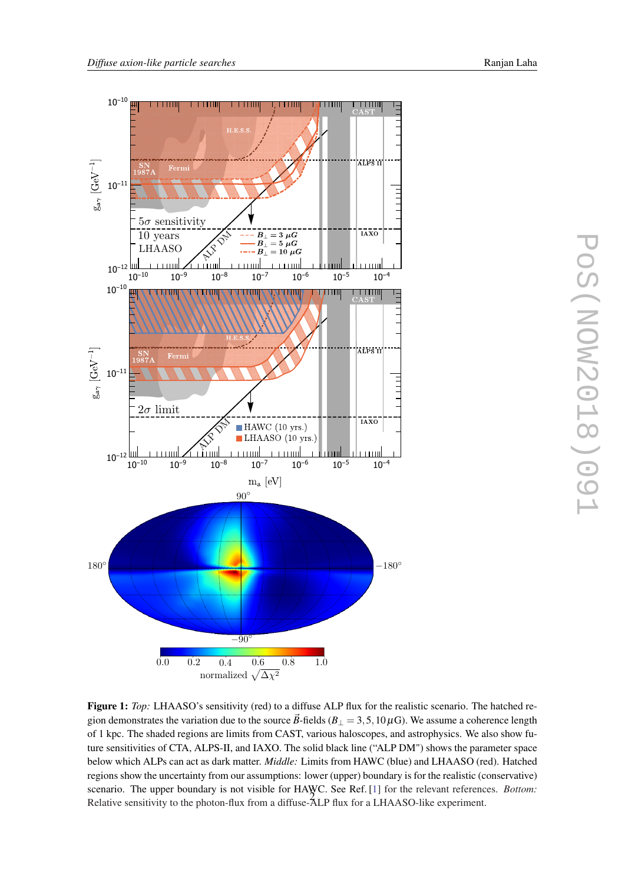<span id="page-2-0"></span>

Figure 1: *Top*: LHAASO's sensitivity (red) to a diffuse ALP flux for the realistic scenario. The hatched region demonstrates the variation due to the source  $\vec{B}$ -fields ( $B_{\perp} = 3, 5, 10 \,\mu\text{G}$ ). We assume a coherence length of 1 kpc. The shaded regions are limits from CAST, various haloscopes, and astrophysics. We also show future sensitivities of CTA, ALPS-II, and IAXO. The solid black line ("ALP DM") shows the parameter space below which ALPs can act as dark matter. *Middle:* Limits from HAWC (blue) and LHAASO (red). Hatched regions show the uncertainty from our assumptions: lower (upper) boundary is for the realistic (conservative) scenario. The upper boundary is not visible for HAWC. See Ref. [[1\]](#page-3-0) for the relevant references. *Bottom:* Relative sensitivity to the photon-flux from a diffuse-ALP flux for a LHAASO-like experiment. <sup>2</sup>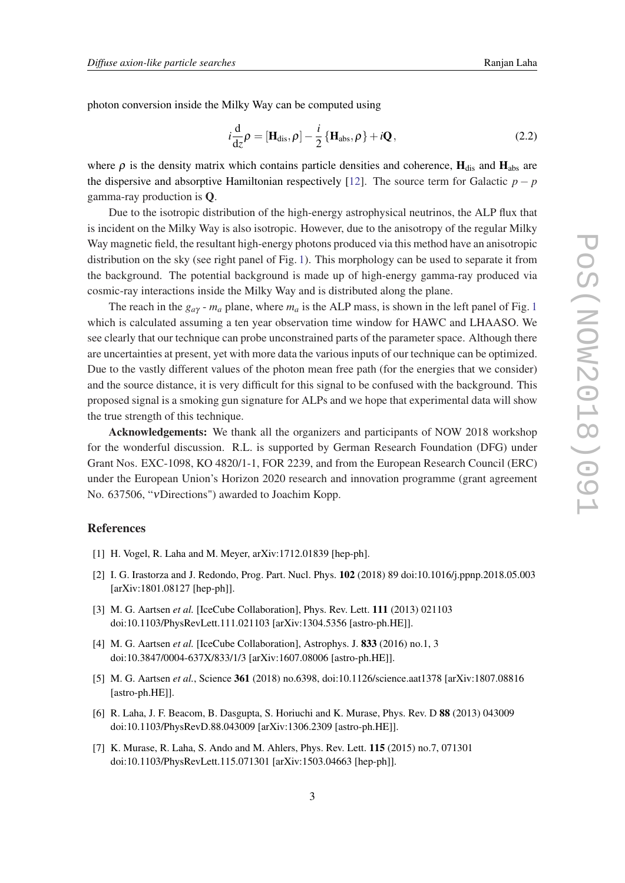<span id="page-3-0"></span>photon conversion inside the Milky Way can be computed using

$$
i\frac{\mathrm{d}}{\mathrm{d}z}\rho = [\mathbf{H}_{\mathrm{dis}}, \rho] - \frac{i}{2} \left\{ \mathbf{H}_{\mathrm{abs}}, \rho \right\} + i\mathbf{Q}, \qquad (2.2)
$$

where  $\rho$  is the density matrix which contains particle densities and coherence,  $H_{dis}$  and  $H_{abs}$  are the dispersive and absorptive Hamiltonian respectively [[12](#page-4-0)]. The source term for Galactic  $p - p$ gamma-ray production is Q.

Due to the isotropic distribution of the high-energy astrophysical neutrinos, the ALP flux that is incident on the Milky Way is also isotropic. However, due to the anisotropy of the regular Milky Way magnetic field, the resultant high-energy photons produced via this method have an anisotropic distribution on the sky (see right panel of Fig. [1](#page-2-0)). This morphology can be used to separate it from the background. The potential background is made up of high-energy gamma-ray produced via cosmic-ray interactions inside the Milky Way and is distributed along the plane.

The reach in the  $g_{a\gamma}$  -  $m_a$  plane, where  $m_a$  is the ALP mass, is shown in the left panel of Fig. [1](#page-2-0) which is calculated assuming a ten year observation time window for HAWC and LHAASO. We see clearly that our technique can probe unconstrained parts of the parameter space. Although there are uncertainties at present, yet with more data the various inputs of our technique can be optimized. Due to the vastly different values of the photon mean free path (for the energies that we consider) and the source distance, it is very difficult for this signal to be confused with the background. This proposed signal is a smoking gun signature for ALPs and we hope that experimental data will show the true strength of this technique.

Acknowledgements: We thank all the organizers and participants of NOW 2018 workshop for the wonderful discussion. R.L. is supported by German Research Foundation (DFG) under Grant Nos. EXC-1098, KO 4820/1-1, FOR 2239, and from the European Research Council (ERC) under the European Union's Horizon 2020 research and innovation programme (grant agreement No. 637506, "νDirections") awarded to Joachim Kopp.

### **References**

- [1] H. Vogel, R. Laha and M. Meyer, arXiv:1712.01839 [hep-ph].
- [2] I. G. Irastorza and J. Redondo, Prog. Part. Nucl. Phys. 102 (2018) 89 doi:10.1016/j.ppnp.2018.05.003 [arXiv:1801.08127 [hep-ph]].
- [3] M. G. Aartsen *et al.* [IceCube Collaboration], Phys. Rev. Lett. 111 (2013) 021103 doi:10.1103/PhysRevLett.111.021103 [arXiv:1304.5356 [astro-ph.HE]].
- [4] M. G. Aartsen *et al.* [IceCube Collaboration], Astrophys. J. 833 (2016) no.1, 3 doi:10.3847/0004-637X/833/1/3 [arXiv:1607.08006 [astro-ph.HE]].
- [5] M. G. Aartsen *et al.*, Science 361 (2018) no.6398, doi:10.1126/science.aat1378 [arXiv:1807.08816 [astro-ph.HE]].
- [6] R. Laha, J. F. Beacom, B. Dasgupta, S. Horiuchi and K. Murase, Phys. Rev. D 88 (2013) 043009 doi:10.1103/PhysRevD.88.043009 [arXiv:1306.2309 [astro-ph.HE]].
- [7] K. Murase, R. Laha, S. Ando and M. Ahlers, Phys. Rev. Lett. 115 (2015) no.7, 071301 doi:10.1103/PhysRevLett.115.071301 [arXiv:1503.04663 [hep-ph]].